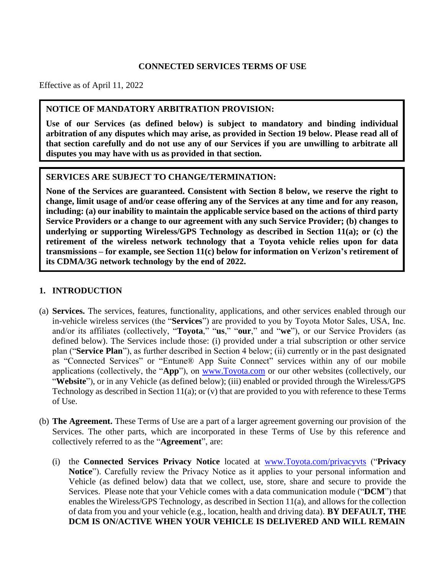#### **CONNECTED SERVICES TERMS OF USE**

Effective as of April 11, 2022

#### **NOTICE OF MANDATORY ARBITRATION PROVISION:**

**Use of our Services (as defined below) is subject to mandatory and binding individual arbitration of any disputes which may arise, as provided in Section 19 below. Please read all of that section carefully and do not use any of our Services if you are unwilling to arbitrate all disputes you may have with us as provided in that section.**

#### **SERVICES ARE SUBJECT TO CHANGE/TERMINATION:**

**None of the Services are guaranteed. Consistent with Section 8 below, we reserve the right to change, limit usage of and/or cease offering any of the Services at any time and for any reason, including: (a) our inability to maintain the applicable service based on the actions of third party Service Providers or a change to our agreement with any such Service Provider; (b) changes to underlying or supporting Wireless/GPS Technology as described in Section 11(a); or (c) the retirement of the wireless network technology that a Toyota vehicle relies upon for data transmissions – for example, see Section 11(c) below for information on Verizon's retirement of its CDMA/3G network technology by the end of 2022.**

## **1. INTRODUCTION**

- (a) **Services.** The services, features, functionality, applications, and other services enabled through our in-vehicle wireless services (the "**Services**") are provided to you by Toyota Motor Sales, USA, Inc. and/or its affiliates (collectively, "**Toyota**," "**us**," "**our**," and "**we**"), or our Service Providers (as defined below). The Services include those: (i) provided under a trial subscription or other service plan ("**Service Plan**"), as further described in Section 4 below; (ii) currently or in the past designated as "Connected Services" or "Entune® App Suite Connect" services within any of our mobile applications (collectively, the "**App**"), on [www.Toyota.com](http://www.toyota.com/) or our other websites (collectively, our "**Website**"), or in any Vehicle (as defined below); (iii) enabled or provided through the Wireless/GPS Technology as described in Section 11(a); or (v) that are provided to you with reference to these Terms of Use.
- (b) **The Agreement.** These Terms of Use are a part of a larger agreement governing our provision of the Services. The other parts, which are incorporated in these Terms of Use by this reference and collectively referred to as the "**Agreement**", are:
	- (i) the **Connected Services Privacy Notice** located at [www.Toyota.com/privacyvts](http://www.toyota.com/privacyvts) ("**Privacy Notice**"). Carefully review the Privacy Notice as it applies to your personal information and Vehicle (as defined below) data that we collect, use, store, share and secure to provide the Services. Please note that your Vehicle comes with a data communication module ("**DCM**") that enables the Wireless/GPS Technology, as described in Section 11(a), and allows for the collection of data from you and your vehicle (e.g., location, health and driving data). **BY DEFAULT, THE DCM IS ON/ACTIVE WHEN YOUR VEHICLE IS DELIVERED AND WILL REMAIN**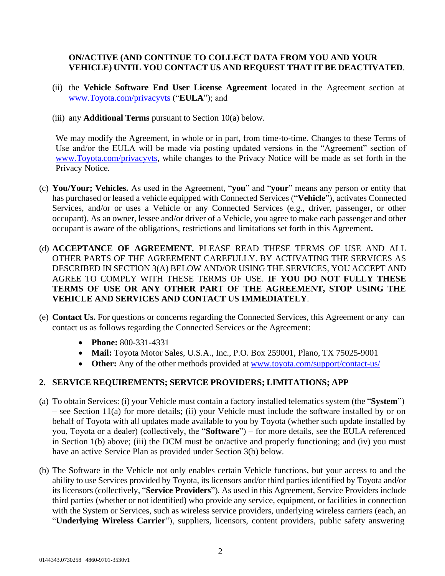## **ON/ACTIVE (AND CONTINUE TO COLLECT DATA FROM YOU AND YOUR VEHICLE) UNTIL YOU CONTACT US AND REQUEST THAT IT BE DEACTIVATED**.

- (ii) the **Vehicle Software End User License Agreement** located in the Agreement section at [www.Toyota.com/privacyvts](http://www.toyota.com/privacyvts) ("**EULA**"); and
- (iii) any **Additional Terms** pursuant to Section 10(a) below.

We may modify the Agreement, in whole or in part, from time-to-time. Changes to these Terms of Use and/or the EULA will be made via posting updated versions in the "Agreement" section of [www.Toyota.com/privacyvts, w](http://www.toyota.com/privacyvts)hile changes to the Privacy Notice will be made as set forth in the Privacy Notice.

- (c) **You/Your; Vehicles.** As used in the Agreement, "**you**" and "**your**" means any person or entity that has purchased or leased a vehicle equipped with Connected Services ("**Vehicle**"), activates Connected Services, and/or or uses a Vehicle or any Connected Services (e.g., driver, passenger, or other occupant). As an owner, lessee and/or driver of a Vehicle, you agree to make each passenger and other occupant is aware of the obligations, restrictions and limitations set forth in this Agreement**.**
- (d) **ACCEPTANCE OF AGREEMENT.** PLEASE READ THESE TERMS OF USE AND ALL OTHER PARTS OF THE AGREEMENT CAREFULLY. BY ACTIVATING THE SERVICES AS DESCRIBED IN SECTION 3(A) BELOW AND/OR USING THE SERVICES, YOU ACCEPT AND AGREE TO COMPLY WITH THESE TERMS OF USE. **IF YOU DO NOT FULLY THESE TERMS OF USE OR ANY OTHER PART OF THE AGREEMENT, STOP USING THE VEHICLE AND SERVICES AND CONTACT US IMMEDIATELY**.
- (e) **Contact Us.** For questions or concerns regarding the Connected Services, this Agreement or any can contact us as follows regarding the Connected Services or the Agreement:
	- **Phone:** 800-331-4331
	- **Mail:** Toyota Motor Sales, U.S.A., Inc., P.O. Box 259001, Plano, TX 75025-9001
	- Other: Any of the other methods provided at <u>[www.toyota.com/support/contact-us/](http://www.toyota.com/support/contact-us/)</u>

# **2. SERVICE REQUIREMENTS; SERVICE PROVIDERS; LIMITATIONS; APP**

- (a) To obtain Services: (i) your Vehicle must contain a factory installed telematics system (the "**System**") – see Section 11(a) for more details; (ii) your Vehicle must include the software installed by or on behalf of Toyota with all updates made available to you by Toyota (whether such update installed by you, Toyota or a dealer) (collectively, the "**Software**") – for more details, see the EULA referenced in Section 1(b) above; (iii) the DCM must be on/active and properly functioning; and (iv) you must have an active Service Plan as provided under Section 3(b) below.
- (b) The Software in the Vehicle not only enables certain Vehicle functions, but your access to and the ability to use Services provided by Toyota, its licensors and/or third parties identified by Toyota and/or its licensors (collectively, "**Service Providers**"). As used in this Agreement, Service Providers include third parties (whether or not identified) who provide any service, equipment, or facilities in connection with the System or Services, such as wireless service providers, underlying wireless carriers (each, an "**Underlying Wireless Carrier**"), suppliers, licensors, content providers, public safety answering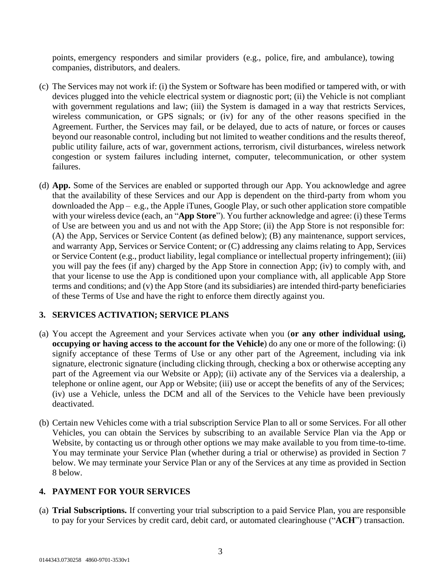points, emergency responders and similar providers (e.g., police, fire, and ambulance), towing companies, distributors, and dealers.

- (c) The Services may not work if: (i) the System or Software has been modified or tampered with, or with devices plugged into the vehicle electrical system or diagnostic port; (ii) the Vehicle is not compliant with government regulations and law; (iii) the System is damaged in a way that restricts Services, wireless communication, or GPS signals; or (iv) for any of the other reasons specified in the Agreement. Further, the Services may fail, or be delayed, due to acts of nature, or forces or causes beyond our reasonable control, including but not limited to weather conditions and the results thereof, public utility failure, acts of war, government actions, terrorism, civil disturbances, wireless network congestion or system failures including internet, computer, telecommunication, or other system failures.
- (d) **App.** Some of the Services are enabled or supported through our App. You acknowledge and agree that the availability of these Services and our App is dependent on the third-party from whom you downloaded the App – e.g., the Apple iTunes, Google Play, or such other application store compatible with your wireless device (each, an "**App Store**"). You further acknowledge and agree: (i) these Terms of Use are between you and us and not with the App Store; (ii) the App Store is not responsible for: (A) the App, Services or Service Content (as defined below); (B) any maintenance, support services, and warranty App, Services or Service Content; or (C) addressing any claims relating to App, Services or Service Content (e.g., product liability, legal compliance or intellectual property infringement); (iii) you will pay the fees (if any) charged by the App Store in connection App; (iv) to comply with, and that your license to use the App is conditioned upon your compliance with, all applicable App Store terms and conditions; and (v) the App Store (and its subsidiaries) are intended third-party beneficiaries of these Terms of Use and have the right to enforce them directly against you.

## **3. SERVICES ACTIVATION; SERVICE PLANS**

- (a) You accept the Agreement and your Services activate when you (**or any other individual using, occupying or having access to the account for the Vehicle**) do any one or more of the following: (i) signify acceptance of these Terms of Use or any other part of the Agreement, including via ink signature, electronic signature (including clicking through, checking a box or otherwise accepting any part of the Agreement via our Website or App); (ii) activate any of the Services via a dealership, a telephone or online agent, our App or Website; (iii) use or accept the benefits of any of the Services; (iv) use a Vehicle, unless the DCM and all of the Services to the Vehicle have been previously deactivated.
- (b) Certain new Vehicles come with a trial subscription Service Plan to all or some Services. For all other Vehicles, you can obtain the Services by subscribing to an available Service Plan via the App or Website, by contacting us or through other options we may make available to you from time-to-time. You may terminate your Service Plan (whether during a trial or otherwise) as provided in Section 7 below. We may terminate your Service Plan or any of the Services at any time as provided in Section 8 below.

# **4. PAYMENT FOR YOUR SERVICES**

(a) **Trial Subscriptions.** If converting your trial subscription to a paid Service Plan, you are responsible to pay for your Services by credit card, debit card, or automated clearinghouse ("**ACH**") transaction.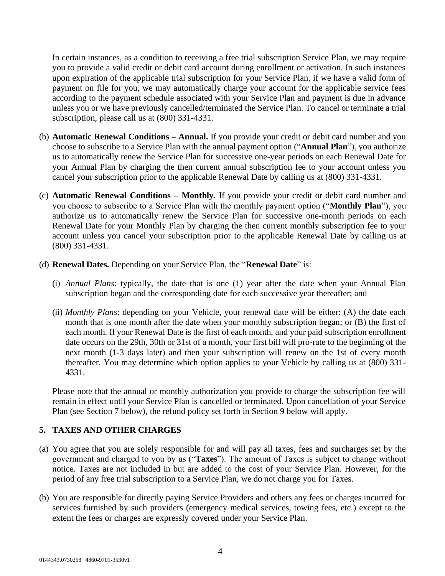In certain instances, as a condition to receiving a free trial subscription Service Plan, we may require you to provide a valid credit or debit card account during enrollment or activation. In such instances upon expiration of the applicable trial subscription for your Service Plan, if we have a valid form of payment on file for you, we may automatically charge your account for the applicable service fees according to the payment schedule associated with your Service Plan and payment is due in advance unless you or we have previously cancelled/terminated the Service Plan. To cancel or terminate a trial subscription, please call us at (800) 331-4331.

- (b) **Automatic Renewal Conditions – Annual.** If you provide your credit or debit card number and you choose to subscribe to a Service Plan with the annual payment option ("**Annual Plan**"), you authorize us to automatically renew the Service Plan for successive one-year periods on each Renewal Date for your Annual Plan by charging the then current annual subscription fee to your account unless you cancel your subscription prior to the applicable Renewal Date by calling us at (800) 331-4331.
- (c) **Automatic Renewal Conditions – Monthly.** If you provide your credit or debit card number and you choose to subscribe to a Service Plan with the monthly payment option ("**Monthly Plan**"), you authorize us to automatically renew the Service Plan for successive one-month periods on each Renewal Date for your Monthly Plan by charging the then current monthly subscription fee to your account unless you cancel your subscription prior to the applicable Renewal Date by calling us at (800) 331-4331.

#### (d) **Renewal Dates.** Depending on your Service Plan, the "**Renewal Date**" is:

- (i) *Annual Plans*: typically, the date that is one (1) year after the date when your Annual Plan subscription began and the corresponding date for each successive year thereafter; and
- (ii) *Monthly Plans*: depending on your Vehicle, your renewal date will be either: (A) the date each month that is one month after the date when your monthly subscription began; or (B) the first of each month. If your Renewal Date is the first of each month, and your paid subscription enrollment date occurs on the 29th, 30th or 31st of a month, your first bill will pro-rate to the beginning of the next month (1-3 days later) and then your subscription will renew on the 1st of every month thereafter. You may determine which option applies to your Vehicle by calling us at (800) 331- 4331.

Please note that the annual or monthly authorization you provide to charge the subscription fee will remain in effect until your Service Plan is cancelled or terminated. Upon cancellation of your Service Plan (see Section 7 below), the refund policy set forth in Section 9 below will apply.

## **5. TAXES AND OTHER CHARGES**

- (a) You agree that you are solely responsible for and will pay all taxes, fees and surcharges set by the government and charged to you by us ("**Taxes**"). The amount of Taxes is subject to change without notice. Taxes are not included in but are added to the cost of your Service Plan. However, for the period of any free trial subscription to a Service Plan, we do not charge you for Taxes.
- (b) You are responsible for directly paying Service Providers and others any fees or charges incurred for services furnished by such providers (emergency medical services, towing fees, etc.) except to the extent the fees or charges are expressly covered under your Service Plan.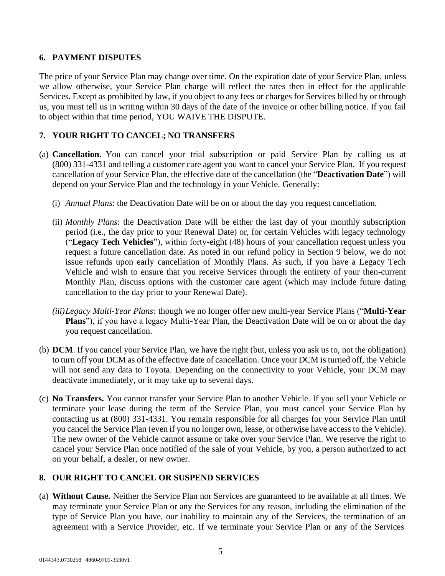## **6. PAYMENT DISPUTES**

The price of your Service Plan may change over time. On the expiration date of your Service Plan, unless we allow otherwise, your Service Plan charge will reflect the rates then in effect for the applicable Services. Except as prohibited by law, if you object to any fees or charges for Services billed by or through us, you must tell us in writing within 30 days of the date of the invoice or other billing notice. If you fail to object within that time period, YOU WAIVE THE DISPUTE.

## **7. YOUR RIGHT TO CANCEL; NO TRANSFERS**

- (a) **Cancellation**. You can cancel your trial subscription or paid Service Plan by calling us at (800) 331-4331 and telling a customer care agent you want to cancel your Service Plan. If you request cancellation of your Service Plan, the effective date of the cancellation (the "**Deactivation Date**") will depend on your Service Plan and the technology in your Vehicle. Generally:
	- (i) *Annual Plans*: the Deactivation Date will be on or about the day you request cancellation.
	- (ii) *Monthly Plans*: the Deactivation Date will be either the last day of your monthly subscription period (i.e., the day prior to your Renewal Date) or, for certain Vehicles with legacy technology ("**Legacy Tech Vehicles**"), within forty-eight (48) hours of your cancellation request unless you request a future cancellation date. As noted in our refund policy in Section 9 below, we do not issue refunds upon early cancellation of Monthly Plans. As such, if you have a Legacy Tech Vehicle and wish to ensure that you receive Services through the entirety of your then-current Monthly Plan, discuss options with the customer care agent (which may include future dating cancellation to the day prior to your Renewal Date).
	- *(iii)Legacy Multi-Year Plans:* though we no longer offer new multi-year Service Plans ("**Multi-Year Plans**"), if you have a legacy Multi-Year Plan, the Deactivation Date will be on or about the day you request cancellation.
- (b) **DCM**. If you cancel your Service Plan, we have the right (but, unless you ask us to, not the obligation) to turn off your DCM as of the effective date of cancellation. Once your DCM is turned off, the Vehicle will not send any data to Toyota. Depending on the connectivity to your Vehicle, your DCM may deactivate immediately, or it may take up to several days.
- (c) **No Transfers.** You cannot transfer your Service Plan to another Vehicle. If you sell your Vehicle or terminate your lease during the term of the Service Plan, you must cancel your Service Plan by contacting us at (800) 331-4331. You remain responsible for all charges for your Service Plan until you cancel the Service Plan (even if you no longer own, lease, or otherwise have access to the Vehicle). The new owner of the Vehicle cannot assume or take over your Service Plan. We reserve the right to cancel your Service Plan once notified of the sale of your Vehicle, by you, a person authorized to act on your behalf, a dealer, or new owner.

## **8. OUR RIGHT TO CANCEL OR SUSPEND SERVICES**

(a) **Without Cause.** Neither the Service Plan nor Services are guaranteed to be available at all times. We may terminate your Service Plan or any the Services for any reason, including the elimination of the type of Service Plan you have, our inability to maintain any of the Services, the termination of an agreement with a Service Provider, etc. If we terminate your Service Plan or any of the Services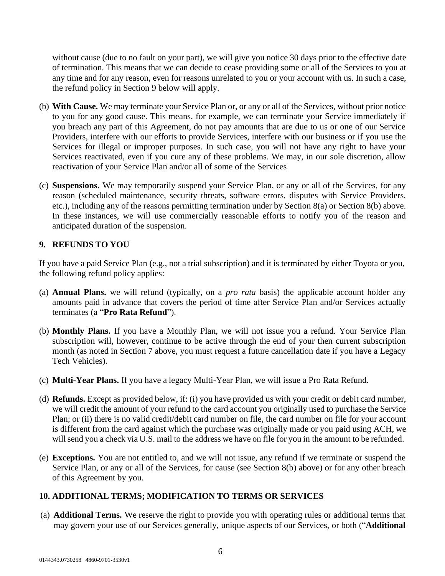without cause (due to no fault on your part), we will give you notice 30 days prior to the effective date of termination. This means that we can decide to cease providing some or all of the Services to you at any time and for any reason, even for reasons unrelated to you or your account with us. In such a case, the refund policy in Section 9 below will apply.

- (b) **With Cause.** We may terminate your Service Plan or, or any or all of the Services, without prior notice to you for any good cause. This means, for example, we can terminate your Service immediately if you breach any part of this Agreement, do not pay amounts that are due to us or one of our Service Providers, interfere with our efforts to provide Services, interfere with our business or if you use the Services for illegal or improper purposes. In such case, you will not have any right to have your Services reactivated, even if you cure any of these problems. We may, in our sole discretion, allow reactivation of your Service Plan and/or all of some of the Services
- (c) **Suspensions.** We may temporarily suspend your Service Plan, or any or all of the Services, for any reason (scheduled maintenance, security threats, software errors, disputes with Service Providers, etc.), including any of the reasons permitting termination under by Section 8(a) or Section 8(b) above. In these instances, we will use commercially reasonable efforts to notify you of the reason and anticipated duration of the suspension.

#### **9. REFUNDS TO YOU**

If you have a paid Service Plan (e.g., not a trial subscription) and it is terminated by either Toyota or you, the following refund policy applies:

- (a) **Annual Plans.** we will refund (typically, on a *pro rata* basis) the applicable account holder any amounts paid in advance that covers the period of time after Service Plan and/or Services actually terminates (a "**Pro Rata Refund**").
- (b) **Monthly Plans.** If you have a Monthly Plan, we will not issue you a refund. Your Service Plan subscription will, however, continue to be active through the end of your then current subscription month (as noted in Section 7 above, you must request a future cancellation date if you have a Legacy Tech Vehicles).
- (c) **Multi-Year Plans.** If you have a legacy Multi-Year Plan, we will issue a Pro Rata Refund.
- (d) **Refunds.** Except as provided below, if: (i) you have provided us with your credit or debit card number, we will credit the amount of your refund to the card account you originally used to purchase the Service Plan; or (ii) there is no valid credit/debit card number on file, the card number on file for your account is different from the card against which the purchase was originally made or you paid using ACH, we will send you a check via U.S. mail to the address we have on file for you in the amount to be refunded.
- (e) **Exceptions.** You are not entitled to, and we will not issue, any refund if we terminate or suspend the Service Plan, or any or all of the Services, for cause (see Section 8(b) above) or for any other breach of this Agreement by you.

## **10. ADDITIONAL TERMS; MODIFICATION TO TERMS OR SERVICES**

(a) **Additional Terms.** We reserve the right to provide you with operating rules or additional terms that may govern your use of our Services generally, unique aspects of our Services, or both ("**Additional**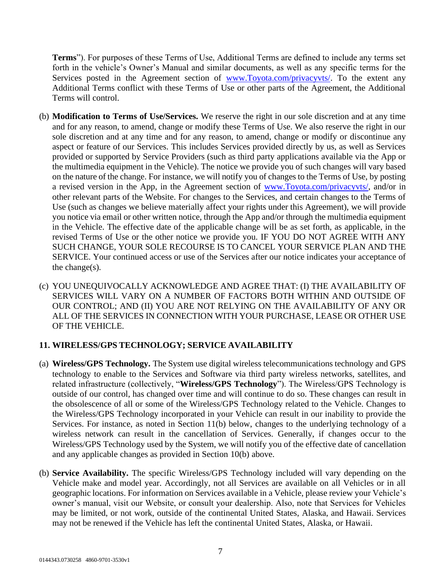**Terms**"). For purposes of these Terms of Use, Additional Terms are defined to include any terms set forth in the vehicle's Owner's Manual and similar documents, as well as any specific terms for the Services posted in the Agreement section of [www.Toyota.com/privacyvts/.](http://www.toyota.com/privacyvts/) To the extent any Additional Terms conflict with these Terms of Use or other parts of the Agreement, the Additional Terms will control.

- (b) **Modification to Terms of Use/Services.** We reserve the right in our sole discretion and at any time and for any reason, to amend, change or modify these Terms of Use. We also reserve the right in our sole discretion and at any time and for any reason, to amend, change or modify or discontinue any aspect or feature of our Services. This includes Services provided directly by us, as well as Services provided or supported by Service Providers (such as third party applications available via the App or the multimedia equipment in the Vehicle). The notice we provide you of such changes will vary based on the nature of the change. For instance, we will notify you of changes to the Terms of Use, by posting a revised version in the App, in the Agreement section of [www.Toyota.com/privacyvts/,](http://www.toyota.com/privacyvts/) and/or in other relevant parts of the Website. For changes to the Services, and certain changes to the Terms of Use (such as changes we believe materially affect your rights under this Agreement), we will provide you notice via email or other written notice, through the App and/or through the multimedia equipment in the Vehicle. The effective date of the applicable change will be as set forth, as applicable, in the revised Terms of Use or the other notice we provide you. IF YOU DO NOT AGREE WITH ANY SUCH CHANGE, YOUR SOLE RECOURSE IS TO CANCEL YOUR SERVICE PLAN AND THE SERVICE. Your continued access or use of the Services after our notice indicates your acceptance of the change(s).
- (c) YOU UNEQUIVOCALLY ACKNOWLEDGE AND AGREE THAT: (I) THE AVAILABILITY OF SERVICES WILL VARY ON A NUMBER OF FACTORS BOTH WITHIN AND OUTSIDE OF OUR CONTROL; AND (II) YOU ARE NOT RELYING ON THE AVAILABILITY OF ANY OR ALL OF THE SERVICES IN CONNECTION WITH YOUR PURCHASE, LEASE OR OTHER USE OF THE VEHICLE.

## **11. WIRELESS/GPS TECHNOLOGY; SERVICE AVAILABILITY**

- (a) **Wireless/GPS Technology.** The System use digital wireless telecommunications technology and GPS technology to enable to the Services and Software via third party wireless networks, satellites, and related infrastructure (collectively, "**Wireless/GPS Technology**"). The Wireless/GPS Technology is outside of our control, has changed over time and will continue to do so. These changes can result in the obsolescence of all or some of the Wireless/GPS Technology related to the Vehicle. Changes to the Wireless/GPS Technology incorporated in your Vehicle can result in our inability to provide the Services. For instance, as noted in Section 11(b) below, changes to the underlying technology of a wireless network can result in the cancellation of Services. Generally, if changes occur to the Wireless/GPS Technology used by the System, we will notify you of the effective date of cancellation and any applicable changes as provided in Section 10(b) above.
- (b) **Service Availability.** The specific Wireless/GPS Technology included will vary depending on the Vehicle make and model year. Accordingly, not all Services are available on all Vehicles or in all geographic locations. For information on Services available in a Vehicle, please review your Vehicle's owner's manual, visit our Website, or consult your dealership. Also, note that Services for Vehicles may be limited, or not work, outside of the continental United States, Alaska, and Hawaii. Services may not be renewed if the Vehicle has left the continental United States, Alaska, or Hawaii.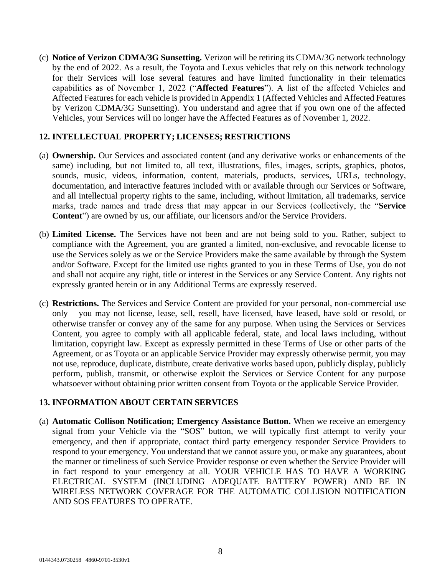(c) **Notice of Verizon CDMA/3G Sunsetting.** Verizon will be retiring its CDMA/3G network technology by the end of 2022. As a result, the Toyota and Lexus vehicles that rely on this network technology for their Services will lose several features and have limited functionality in their telematics capabilities as of November 1, 2022 ("**Affected Features**"). A list of the affected Vehicles and Affected Features for each vehicle is provided in Appendix 1 (Affected Vehicles and Affected Features by Verizon CDMA/3G Sunsetting). You understand and agree that if you own one of the affected Vehicles, your Services will no longer have the Affected Features as of November 1, 2022.

#### **12. INTELLECTUAL PROPERTY; LICENSES; RESTRICTIONS**

- (a) **Ownership.** Our Services and associated content (and any derivative works or enhancements of the same) including, but not limited to, all text, illustrations, files, images, scripts, graphics, photos, sounds, music, videos, information, content, materials, products, services, URLs, technology, documentation, and interactive features included with or available through our Services or Software, and all intellectual property rights to the same, including, without limitation, all trademarks, service marks, trade names and trade dress that may appear in our Services (collectively, the "**Service Content**") are owned by us, our affiliate, our licensors and/or the Service Providers.
- (b) **Limited License.** The Services have not been and are not being sold to you. Rather, subject to compliance with the Agreement, you are granted a limited, non-exclusive, and revocable license to use the Services solely as we or the Service Providers make the same available by through the System and/or Software. Except for the limited use rights granted to you in these Terms of Use, you do not and shall not acquire any right, title or interest in the Services or any Service Content. Any rights not expressly granted herein or in any Additional Terms are expressly reserved.
- (c) **Restrictions.** The Services and Service Content are provided for your personal, non-commercial use only – you may not license, lease, sell, resell, have licensed, have leased, have sold or resold, or otherwise transfer or convey any of the same for any purpose. When using the Services or Services Content, you agree to comply with all applicable federal, state, and local laws including, without limitation, copyright law. Except as expressly permitted in these Terms of Use or other parts of the Agreement, or as Toyota or an applicable Service Provider may expressly otherwise permit, you may not use, reproduce, duplicate, distribute, create derivative works based upon, publicly display, publicly perform, publish, transmit, or otherwise exploit the Services or Service Content for any purpose whatsoever without obtaining prior written consent from Toyota or the applicable Service Provider.

## **13. INFORMATION ABOUT CERTAIN SERVICES**

(a) **Automatic Collison Notification; Emergency Assistance Button.** When we receive an emergency signal from your Vehicle via the "SOS" button, we will typically first attempt to verify your emergency, and then if appropriate, contact third party emergency responder Service Providers to respond to your emergency. You understand that we cannot assure you, or make any guarantees, about the manner or timeliness of such Service Provider response or even whether the Service Provider will in fact respond to your emergency at all. YOUR VEHICLE HAS TO HAVE A WORKING ELECTRICAL SYSTEM (INCLUDING ADEQUATE BATTERY POWER) AND BE IN WIRELESS NETWORK COVERAGE FOR THE AUTOMATIC COLLISION NOTIFICATION AND SOS FEATURES TO OPERATE.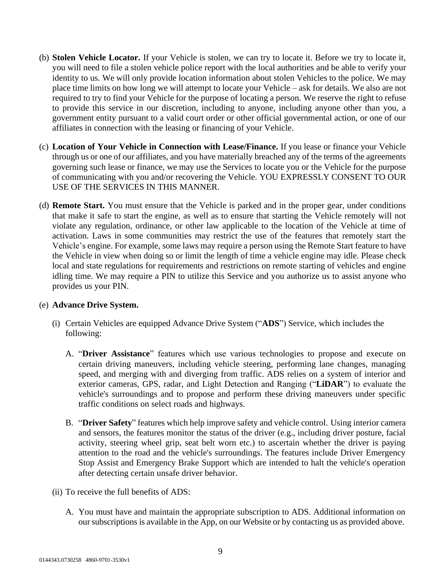- (b) **Stolen Vehicle Locator.** If your Vehicle is stolen, we can try to locate it. Before we try to locate it, you will need to file a stolen vehicle police report with the local authorities and be able to verify your identity to us. We will only provide location information about stolen Vehicles to the police. We may place time limits on how long we will attempt to locate your Vehicle – ask for details. We also are not required to try to find your Vehicle for the purpose of locating a person. We reserve the right to refuse to provide this service in our discretion, including to anyone, including anyone other than you, a government entity pursuant to a valid court order or other official governmental action, or one of our affiliates in connection with the leasing or financing of your Vehicle.
- (c) **Location of Your Vehicle in Connection with Lease/Finance.** If you lease or finance your Vehicle through us or one of our affiliates, and you have materially breached any of the terms of the agreements governing such lease or finance, we may use the Services to locate you or the Vehicle for the purpose of communicating with you and/or recovering the Vehicle. YOU EXPRESSLY CONSENT TO OUR USE OF THE SERVICES IN THIS MANNER.
- (d) **Remote Start.** You must ensure that the Vehicle is parked and in the proper gear, under conditions that make it safe to start the engine, as well as to ensure that starting the Vehicle remotely will not violate any regulation, ordinance, or other law applicable to the location of the Vehicle at time of activation. Laws in some communities may restrict the use of the features that remotely start the Vehicle's engine. For example, some laws may require a person using the Remote Start feature to have the Vehicle in view when doing so or limit the length of time a vehicle engine may idle. Please check local and state regulations for requirements and restrictions on remote starting of vehicles and engine idling time. We may require a PIN to utilize this Service and you authorize us to assist anyone who provides us your PIN.

#### (e) **Advance Drive System.**

- (i) Certain Vehicles are equipped Advance Drive System ("**ADS**") Service, which includes the following:
	- A. "**Driver Assistance**" features which use various technologies to propose and execute on certain driving maneuvers, including vehicle steering, performing lane changes, managing speed, and merging with and diverging from traffic. ADS relies on a system of interior and exterior cameras, GPS, radar, and Light Detection and Ranging ("**LiDAR**") to evaluate the vehicle's surroundings and to propose and perform these driving maneuvers under specific traffic conditions on select roads and highways.
	- B. "**Driver Safety**" features which help improve safety and vehicle control. Using interior camera and sensors, the features monitor the status of the driver (e.g., including driver posture, facial activity, steering wheel grip, seat belt worn etc.) to ascertain whether the driver is paying attention to the road and the vehicle's surroundings. The features include Driver Emergency Stop Assist and Emergency Brake Support which are intended to halt the vehicle's operation after detecting certain unsafe driver behavior.
- (ii) To receive the full benefits of ADS:
	- A. You must have and maintain the appropriate subscription to ADS. Additional information on oursubscriptions is available in the App, on our Website or by contacting us as provided above.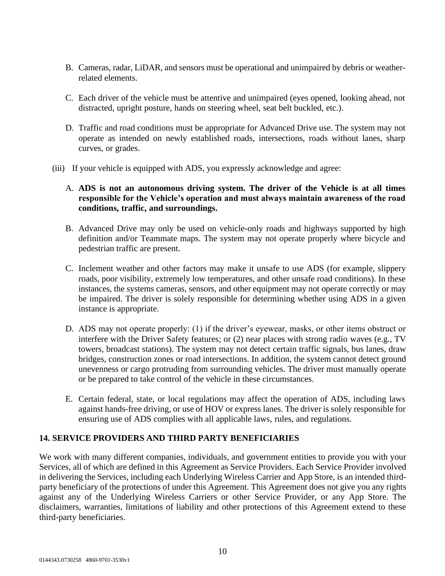- B. Cameras, radar, LiDAR, and sensors must be operational and unimpaired by debris or weatherrelated elements.
- C. Each driver of the vehicle must be attentive and unimpaired (eyes opened, looking ahead, not distracted, upright posture, hands on steering wheel, seat belt buckled, etc.).
- D. Traffic and road conditions must be appropriate for Advanced Drive use. The system may not operate as intended on newly established roads, intersections, roads without lanes, sharp curves, or grades.
- (iii) If your vehicle is equipped with ADS, you expressly acknowledge and agree:
	- A. **ADS is not an autonomous driving system. The driver of the Vehicle is at all times responsible for the Vehicle's operation and must always maintain awareness of the road conditions, traffic, and surroundings.**
	- B. Advanced Drive may only be used on vehicle-only roads and highways supported by high definition and/or Teammate maps. The system may not operate properly where bicycle and pedestrian traffic are present.
	- C. Inclement weather and other factors may make it unsafe to use ADS (for example, slippery roads, poor visibility, extremely low temperatures, and other unsafe road conditions). In these instances, the systems cameras, sensors, and other equipment may not operate correctly or may be impaired. The driver is solely responsible for determining whether using ADS in a given instance is appropriate.
	- D. ADS may not operate properly: (1) if the driver's eyewear, masks, or other items obstruct or interfere with the Driver Safety features; or (2) near places with strong radio waves (e.g., TV towers, broadcast stations). The system may not detect certain traffic signals, bus lanes, draw bridges, construction zones or road intersections. In addition, the system cannot detect ground unevenness or cargo protruding from surrounding vehicles. The driver must manually operate or be prepared to take control of the vehicle in these circumstances.
	- E. Certain federal, state, or local regulations may affect the operation of ADS, including laws against hands-free driving, or use of HOV or express lanes. The driver is solely responsible for ensuring use of ADS complies with all applicable laws, rules, and regulations.

## **14. SERVICE PROVIDERS AND THIRD PARTY BENEFICIARIES**

We work with many different companies, individuals, and government entities to provide you with your Services, all of which are defined in this Agreement as Service Providers. Each Service Provider involved in delivering the Services, including each Underlying Wireless Carrier and App Store, is an intended thirdparty beneficiary of the protections of under this Agreement. This Agreement does not give you any rights against any of the Underlying Wireless Carriers or other Service Provider, or any App Store. The disclaimers, warranties, limitations of liability and other protections of this Agreement extend to these third-party beneficiaries.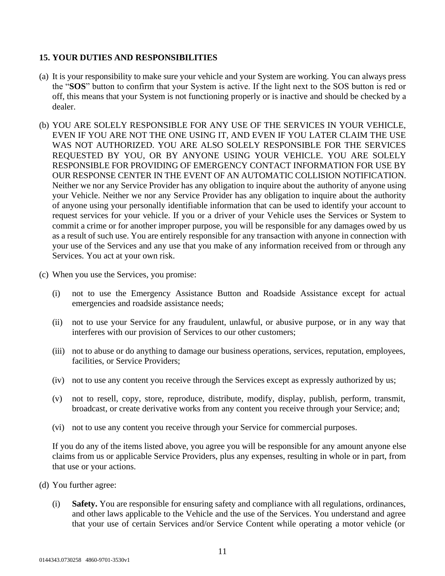## **15. YOUR DUTIES AND RESPONSIBILITIES**

- (a) It is your responsibility to make sure your vehicle and your System are working. You can always press the "**SOS**" button to confirm that your System is active. If the light next to the SOS button is red or off, this means that your System is not functioning properly or is inactive and should be checked by a dealer.
- (b) YOU ARE SOLELY RESPONSIBLE FOR ANY USE OF THE SERVICES IN YOUR VEHICLE, EVEN IF YOU ARE NOT THE ONE USING IT, AND EVEN IF YOU LATER CLAIM THE USE WAS NOT AUTHORIZED. YOU ARE ALSO SOLELY RESPONSIBLE FOR THE SERVICES REQUESTED BY YOU, OR BY ANYONE USING YOUR VEHICLE. YOU ARE SOLELY RESPONSIBLE FOR PROVIDING OF EMERGENCY CONTACT INFORMATION FOR USE BY OUR RESPONSE CENTER IN THE EVENT OF AN AUTOMATIC COLLISION NOTIFICATION. Neither we nor any Service Provider has any obligation to inquire about the authority of anyone using your Vehicle. Neither we nor any Service Provider has any obligation to inquire about the authority of anyone using your personally identifiable information that can be used to identify your account to request services for your vehicle. If you or a driver of your Vehicle uses the Services or System to commit a crime or for another improper purpose, you will be responsible for any damages owed by us as a result of such use. You are entirely responsible for any transaction with anyone in connection with your use of the Services and any use that you make of any information received from or through any Services. You act at your own risk.
- (c) When you use the Services, you promise:
	- (i) not to use the Emergency Assistance Button and Roadside Assistance except for actual emergencies and roadside assistance needs;
	- (ii) not to use your Service for any fraudulent, unlawful, or abusive purpose, or in any way that interferes with our provision of Services to our other customers;
	- (iii) not to abuse or do anything to damage our business operations, services, reputation, employees, facilities, or Service Providers;
	- (iv) not to use any content you receive through the Services except as expressly authorized by us;
	- (v) not to resell, copy, store, reproduce, distribute, modify, display, publish, perform, transmit, broadcast, or create derivative works from any content you receive through your Service; and;
	- (vi) not to use any content you receive through your Service for commercial purposes.

If you do any of the items listed above, you agree you will be responsible for any amount anyone else claims from us or applicable Service Providers, plus any expenses, resulting in whole or in part, from that use or your actions.

- (d) You further agree:
	- (i) **Safety.** You are responsible for ensuring safety and compliance with all regulations, ordinances, and other laws applicable to the Vehicle and the use of the Services. You understand and agree that your use of certain Services and/or Service Content while operating a motor vehicle (or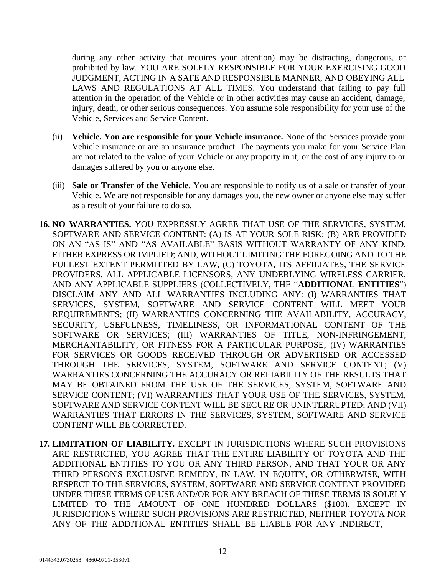during any other activity that requires your attention) may be distracting, dangerous, or prohibited by law. YOU ARE SOLELY RESPONSIBLE FOR YOUR EXERCISING GOOD JUDGMENT, ACTING IN A SAFE AND RESPONSIBLE MANNER, AND OBEYING ALL LAWS AND REGULATIONS AT ALL TIMES. You understand that failing to pay full attention in the operation of the Vehicle or in other activities may cause an accident, damage, injury, death, or other serious consequences. You assume sole responsibility for your use of the Vehicle, Services and Service Content.

- (ii) **Vehicle. You are responsible for your Vehicle insurance.** None of the Services provide your Vehicle insurance or are an insurance product. The payments you make for your Service Plan are not related to the value of your Vehicle or any property in it, or the cost of any injury to or damages suffered by you or anyone else.
- (iii) **Sale or Transfer of the Vehicle.** You are responsible to notify us of a sale or transfer of your Vehicle. We are not responsible for any damages you, the new owner or anyone else may suffer as a result of your failure to do so.
- **16. NO WARRANTIES.** YOU EXPRESSLY AGREE THAT USE OF THE SERVICES, SYSTEM, SOFTWARE AND SERVICE CONTENT: (A) IS AT YOUR SOLE RISK; (B) ARE PROVIDED ON AN "AS IS" AND "AS AVAILABLE" BASIS WITHOUT WARRANTY OF ANY KIND, EITHER EXPRESS OR IMPLIED; AND, WITHOUT LIMITING THE FOREGOING AND TO THE FULLEST EXTENT PERMITTED BY LAW, (C) TOYOTA, ITS AFFILIATES, THE SERVICE PROVIDERS, ALL APPLICABLE LICENSORS, ANY UNDERLYING WIRELESS CARRIER, AND ANY APPLICABLE SUPPLIERS (COLLECTIVELY, THE "**ADDITIONAL ENTITIES**") DISCLAIM ANY AND ALL WARRANTIES INCLUDING ANY: (I) WARRANTIES THAT SERVICES, SYSTEM, SOFTWARE AND SERVICE CONTENT WILL MEET YOUR REQUIREMENTS; (II) WARRANTIES CONCERNING THE AVAILABILITY, ACCURACY, SECURITY, USEFULNESS, TIMELINESS, OR INFORMATIONAL CONTENT OF THE SOFTWARE OR SERVICES; (III) WARRANTIES OF TITLE, NON-INFRINGEMENT, MERCHANTABILITY, OR FITNESS FOR A PARTICULAR PURPOSE; (IV) WARRANTIES FOR SERVICES OR GOODS RECEIVED THROUGH OR ADVERTISED OR ACCESSED THROUGH THE SERVICES, SYSTEM, SOFTWARE AND SERVICE CONTENT; (V) WARRANTIES CONCERNING THE ACCURACY OR RELIABILITY OF THE RESULTS THAT MAY BE OBTAINED FROM THE USE OF THE SERVICES, SYSTEM, SOFTWARE AND SERVICE CONTENT; (VI) WARRANTIES THAT YOUR USE OF THE SERVICES, SYSTEM, SOFTWARE AND SERVICE CONTENT WILL BE SECURE OR UNINTERRUPTED; AND (VII) WARRANTIES THAT ERRORS IN THE SERVICES, SYSTEM, SOFTWARE AND SERVICE CONTENT WILL BE CORRECTED.
- **17. LIMITATION OF LIABILITY.** EXCEPT IN JURISDICTIONS WHERE SUCH PROVISIONS ARE RESTRICTED, YOU AGREE THAT THE ENTIRE LIABILITY OF TOYOTA AND THE ADDITIONAL ENTITIES TO YOU OR ANY THIRD PERSON, AND THAT YOUR OR ANY THIRD PERSON'S EXCLUSIVE REMEDY, IN LAW, IN EQUITY, OR OTHERWISE, WITH RESPECT TO THE SERVICES, SYSTEM, SOFTWARE AND SERVICE CONTENT PROVIDED UNDER THESE TERMS OF USE AND/OR FOR ANY BREACH OF THESE TERMS IS SOLELY LIMITED TO THE AMOUNT OF ONE HUNDRED DOLLARS (\$100). EXCEPT IN JURISDICTIONS WHERE SUCH PROVISIONS ARE RESTRICTED, NEITHER TOYOTA NOR ANY OF THE ADDITIONAL ENTITIES SHALL BE LIABLE FOR ANY INDIRECT,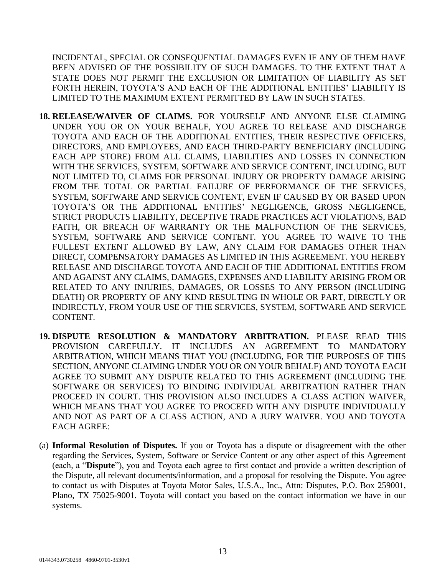INCIDENTAL, SPECIAL OR CONSEQUENTIAL DAMAGES EVEN IF ANY OF THEM HAVE BEEN ADVISED OF THE POSSIBILITY OF SUCH DAMAGES. TO THE EXTENT THAT A STATE DOES NOT PERMIT THE EXCLUSION OR LIMITATION OF LIABILITY AS SET FORTH HEREIN, TOYOTA'S AND EACH OF THE ADDITIONAL ENTITIES' LIABILITY IS LIMITED TO THE MAXIMUM EXTENT PERMITTED BY LAW IN SUCH STATES.

- **18. RELEASE/WAIVER OF CLAIMS.** FOR YOURSELF AND ANYONE ELSE CLAIMING UNDER YOU OR ON YOUR BEHALF, YOU AGREE TO RELEASE AND DISCHARGE TOYOTA AND EACH OF THE ADDITIONAL ENTITIES, THEIR RESPECTIVE OFFICERS, DIRECTORS, AND EMPLOYEES, AND EACH THIRD-PARTY BENEFICIARY (INCLUDING EACH APP STORE) FROM ALL CLAIMS, LIABILITIES AND LOSSES IN CONNECTION WITH THE SERVICES, SYSTEM, SOFTWARE AND SERVICE CONTENT, INCLUDING, BUT NOT LIMITED TO, CLAIMS FOR PERSONAL INJURY OR PROPERTY DAMAGE ARISING FROM THE TOTAL OR PARTIAL FAILURE OF PERFORMANCE OF THE SERVICES, SYSTEM, SOFTWARE AND SERVICE CONTENT, EVEN IF CAUSED BY OR BASED UPON TOYOTA'S OR THE ADDITIONAL ENTITIES' NEGLIGENCE, GROSS NEGLIGENCE, STRICT PRODUCTS LIABILITY, DECEPTIVE TRADE PRACTICES ACT VIOLATIONS, BAD FAITH, OR BREACH OF WARRANTY OR THE MALFUNCTION OF THE SERVICES, SYSTEM, SOFTWARE AND SERVICE CONTENT. YOU AGREE TO WAIVE TO THE FULLEST EXTENT ALLOWED BY LAW, ANY CLAIM FOR DAMAGES OTHER THAN DIRECT, COMPENSATORY DAMAGES AS LIMITED IN THIS AGREEMENT. YOU HEREBY RELEASE AND DISCHARGE TOYOTA AND EACH OF THE ADDITIONAL ENTITIES FROM AND AGAINST ANY CLAIMS, DAMAGES, EXPENSES AND LIABILITY ARISING FROM OR RELATED TO ANY INJURIES, DAMAGES, OR LOSSES TO ANY PERSON (INCLUDING DEATH) OR PROPERTY OF ANY KIND RESULTING IN WHOLE OR PART, DIRECTLY OR INDIRECTLY, FROM YOUR USE OF THE SERVICES, SYSTEM, SOFTWARE AND SERVICE CONTENT.
- **19. DISPUTE RESOLUTION & MANDATORY ARBITRATION.** PLEASE READ THIS PROVISION CAREFULLY. IT INCLUDES AN AGREEMENT TO MANDATORY ARBITRATION, WHICH MEANS THAT YOU (INCLUDING, FOR THE PURPOSES OF THIS SECTION, ANYONE CLAIMING UNDER YOU OR ON YOUR BEHALF) AND TOYOTA EACH AGREE TO SUBMIT ANY DISPUTE RELATED TO THIS AGREEMENT (INCLUDING THE SOFTWARE OR SERVICES) TO BINDING INDIVIDUAL ARBITRATION RATHER THAN PROCEED IN COURT. THIS PROVISION ALSO INCLUDES A CLASS ACTION WAIVER, WHICH MEANS THAT YOU AGREE TO PROCEED WITH ANY DISPUTE INDIVIDUALLY AND NOT AS PART OF A CLASS ACTION, AND A JURY WAIVER. YOU AND TOYOTA EACH AGREE:
- (a) **Informal Resolution of Disputes.** If you or Toyota has a dispute or disagreement with the other regarding the Services, System, Software or Service Content or any other aspect of this Agreement (each, a "**Dispute**"), you and Toyota each agree to first contact and provide a written description of the Dispute, all relevant documents/information, and a proposal for resolving the Dispute. You agree to contact us with Disputes at Toyota Motor Sales, U.S.A., Inc., Attn: Disputes, P.O. Box 259001, Plano, TX 75025-9001. Toyota will contact you based on the contact information we have in our systems.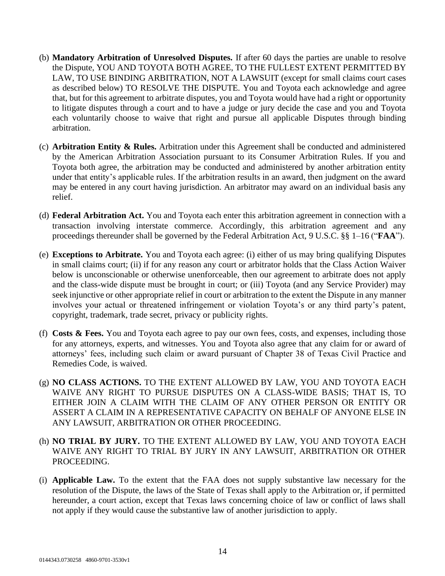- (b) **Mandatory Arbitration of Unresolved Disputes.** If after 60 days the parties are unable to resolve the Dispute, YOU AND TOYOTA BOTH AGREE, TO THE FULLEST EXTENT PERMITTED BY LAW, TO USE BINDING ARBITRATION, NOT A LAWSUIT (except for small claims court cases as described below) TO RESOLVE THE DISPUTE. You and Toyota each acknowledge and agree that, but for this agreement to arbitrate disputes, you and Toyota would have had a right or opportunity to litigate disputes through a court and to have a judge or jury decide the case and you and Toyota each voluntarily choose to waive that right and pursue all applicable Disputes through binding arbitration.
- (c) **Arbitration Entity & Rules.** Arbitration under this Agreement shall be conducted and administered by the American Arbitration Association pursuant to its Consumer Arbitration Rules. If you and Toyota both agree, the arbitration may be conducted and administered by another arbitration entity under that entity's applicable rules. If the arbitration results in an award, then judgment on the award may be entered in any court having jurisdiction. An arbitrator may award on an individual basis any relief.
- (d) **Federal Arbitration Act.** You and Toyota each enter this arbitration agreement in connection with a transaction involving interstate commerce. Accordingly, this arbitration agreement and any proceedings thereunder shall be governed by the Federal Arbitration Act, 9 U.S.C. §§ 1–16 ("**FAA**").
- (e) **Exceptions to Arbitrate.** You and Toyota each agree: (i) either of us may bring qualifying Disputes in small claims court; (ii) if for any reason any court or arbitrator holds that the Class Action Waiver below is unconscionable or otherwise unenforceable, then our agreement to arbitrate does not apply and the class-wide dispute must be brought in court; or (iii) Toyota (and any Service Provider) may seek injunctive or other appropriate relief in court or arbitration to the extent the Dispute in any manner involves your actual or threatened infringement or violation Toyota's or any third party's patent, copyright, trademark, trade secret, privacy or publicity rights.
- (f) **Costs & Fees.** You and Toyota each agree to pay our own fees, costs, and expenses, including those for any attorneys, experts, and witnesses. You and Toyota also agree that any claim for or award of attorneys' fees, including such claim or award pursuant of Chapter 38 of Texas Civil Practice and Remedies Code, is waived.
- (g) **NO CLASS ACTIONS.** TO THE EXTENT ALLOWED BY LAW, YOU AND TOYOTA EACH WAIVE ANY RIGHT TO PURSUE DISPUTES ON A CLASS-WIDE BASIS; THAT IS, TO EITHER JOIN A CLAIM WITH THE CLAIM OF ANY OTHER PERSON OR ENTITY OR ASSERT A CLAIM IN A REPRESENTATIVE CAPACITY ON BEHALF OF ANYONE ELSE IN ANY LAWSUIT, ARBITRATION OR OTHER PROCEEDING.
- (h) **NO TRIAL BY JURY.** TO THE EXTENT ALLOWED BY LAW, YOU AND TOYOTA EACH WAIVE ANY RIGHT TO TRIAL BY JURY IN ANY LAWSUIT, ARBITRATION OR OTHER PROCEEDING.
- (i) **Applicable Law.** To the extent that the FAA does not supply substantive law necessary for the resolution of the Dispute, the laws of the State of Texas shall apply to the Arbitration or, if permitted hereunder, a court action, except that Texas laws concerning choice of law or conflict of laws shall not apply if they would cause the substantive law of another jurisdiction to apply.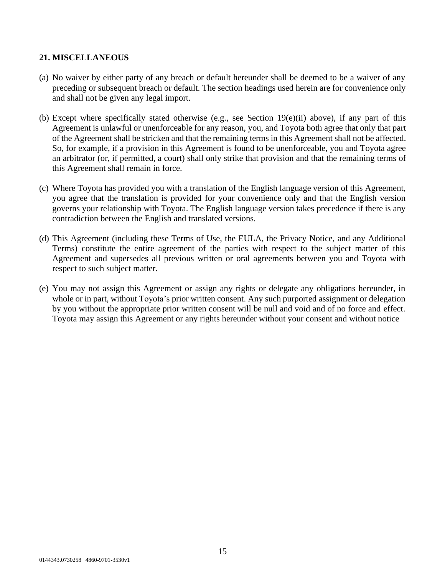#### **21. MISCELLANEOUS**

- (a) No waiver by either party of any breach or default hereunder shall be deemed to be a waiver of any preceding or subsequent breach or default. The section headings used herein are for convenience only and shall not be given any legal import.
- (b) Except where specifically stated otherwise (e.g., see Section 19(e)(ii) above), if any part of this Agreement is unlawful or unenforceable for any reason, you, and Toyota both agree that only that part of the Agreement shall be stricken and that the remaining terms in this Agreement shall not be affected. So, for example, if a provision in this Agreement is found to be unenforceable, you and Toyota agree an arbitrator (or, if permitted, a court) shall only strike that provision and that the remaining terms of this Agreement shall remain in force.
- (c) Where Toyota has provided you with a translation of the English language version of this Agreement, you agree that the translation is provided for your convenience only and that the English version governs your relationship with Toyota. The English language version takes precedence if there is any contradiction between the English and translated versions.
- (d) This Agreement (including these Terms of Use, the EULA, the Privacy Notice, and any Additional Terms) constitute the entire agreement of the parties with respect to the subject matter of this Agreement and supersedes all previous written or oral agreements between you and Toyota with respect to such subject matter.
- (e) You may not assign this Agreement or assign any rights or delegate any obligations hereunder, in whole or in part, without Toyota's prior written consent. Any such purported assignment or delegation by you without the appropriate prior written consent will be null and void and of no force and effect. Toyota may assign this Agreement or any rights hereunder without your consent and without notice